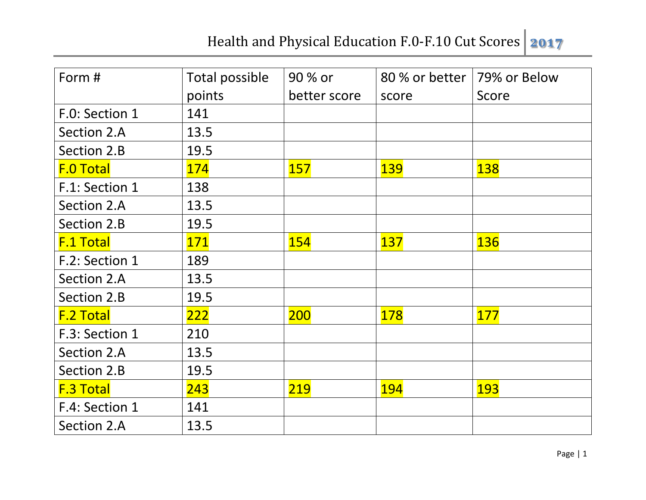| Form #           | Total possible | 90 % or      | 80 % or better | 79% or Below |
|------------------|----------------|--------------|----------------|--------------|
|                  | points         | better score | score          | Score        |
| F.O: Section 1   | 141            |              |                |              |
| Section 2.A      | 13.5           |              |                |              |
| Section 2.B      | 19.5           |              |                |              |
| <b>F.O Total</b> | <b>174</b>     | <b>157</b>   | <b>139</b>     | <b>138</b>   |
| F.1: Section 1   | 138            |              |                |              |
| Section 2.A      | 13.5           |              |                |              |
| Section 2.B      | 19.5           |              |                |              |
| <b>F.1 Total</b> | <b>171</b>     | <b>154</b>   | 137            | <b>136</b>   |
| F.2: Section 1   | 189            |              |                |              |
| Section 2.A      | 13.5           |              |                |              |
| Section 2.B      | 19.5           |              |                |              |
| <b>F.2 Total</b> | 222            | 200          | 178            | <b>177</b>   |
| F.3: Section 1   | 210            |              |                |              |
| Section 2.A      | 13.5           |              |                |              |
| Section 2.B      | 19.5           |              |                |              |
| <b>F.3 Total</b> | 243            | 219          | <b>194</b>     | <b>193</b>   |
| F.4: Section 1   | 141            |              |                |              |
| Section 2.A      | 13.5           |              |                |              |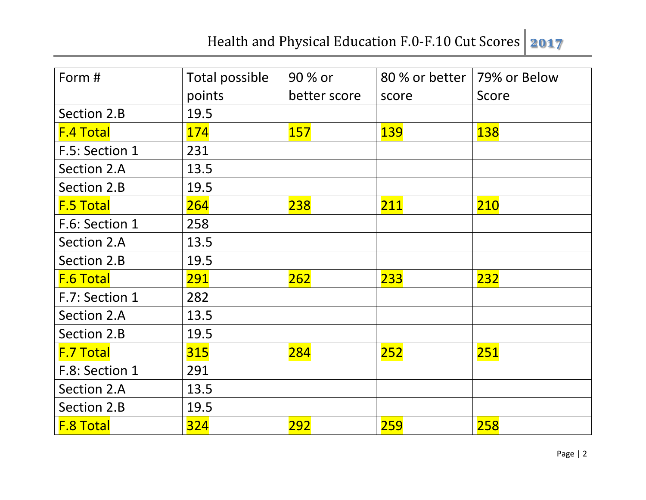| Form #           | Total possible | 90 % or      | 80 % or better | 79% or Below |
|------------------|----------------|--------------|----------------|--------------|
|                  | points         | better score | score          | Score        |
| Section 2.B      | 19.5           |              |                |              |
| <b>F.4 Total</b> | 174            | <b>157</b>   | <b>139</b>     | <b>138</b>   |
| F.5: Section 1   | 231            |              |                |              |
| Section 2.A      | 13.5           |              |                |              |
| Section 2.B      | 19.5           |              |                |              |
| <b>F.5 Total</b> | 264            | 238          | 211            | 210          |
| F.6: Section 1   | 258            |              |                |              |
| Section 2.A      | 13.5           |              |                |              |
| Section 2.B      | 19.5           |              |                |              |
| <b>F.6 Total</b> | 291            | 262          | 233            | <b>232</b>   |
| F.7: Section 1   | 282            |              |                |              |
| Section 2.A      | 13.5           |              |                |              |
| Section 2.B      | 19.5           |              |                |              |
| <b>F.7 Total</b> | 315            | 284          | 252            | 251          |
| F.8: Section 1   | 291            |              |                |              |
| Section 2.A      | 13.5           |              |                |              |
| Section 2.B      | 19.5           |              |                |              |
| <b>F.8 Total</b> | 324            | <b>292</b>   | <b>259</b>     | 258          |